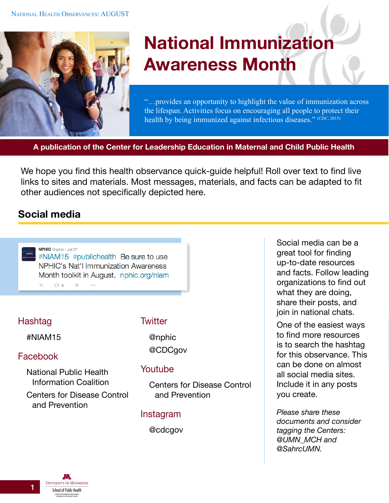

# **National Immunization Awareness Month**

"…provides an opportunity to highlight the value of immunization across the lifespan. Activities focus on encouraging all people to protect their health by being immunized against infectious diseases." (CDC, 2015)

**A publication of the Center for Leadership Education in Maternal and Child Public Health**

We hope you find this health observance quick-guide helpful! Roll over text to find live links to sites and materials. Most messages, materials, and facts can be adapted to fit other audiences not specifically depicted here.

# **Social media**



# **Hashtag**

#NIAM15

# Facebook

[National Public Health](https://www.facebook.com/nphicpublic)  [Information Coalition](https://www.facebook.com/nphicpublic) [Centers for Disease Control](https://www.facebook.com/CDC)  [and Prevention](https://www.facebook.com/CDC)

#### **Twitter**

@nphic

#### @CDCgov

#### Youtube

[Centers for Disease Control](https://www.youtube.com/user/CDCStreamingHealth)  [and Prevention](https://www.youtube.com/user/CDCStreamingHealth)

#### Instagram

@cdcgov

Social media can be a great tool for finding up-to-date resources and facts. Follow leading organizations to find out what they are doing, share their posts, and join in national chats.

One of the easiest ways to find more resources is to search the hashtag for this observance. This can be done on almost all social media sites. Include it in any posts you create.

*Please share these documents and consider tagging the Centers: @UMN\_MCH and @SahrcUMN.*